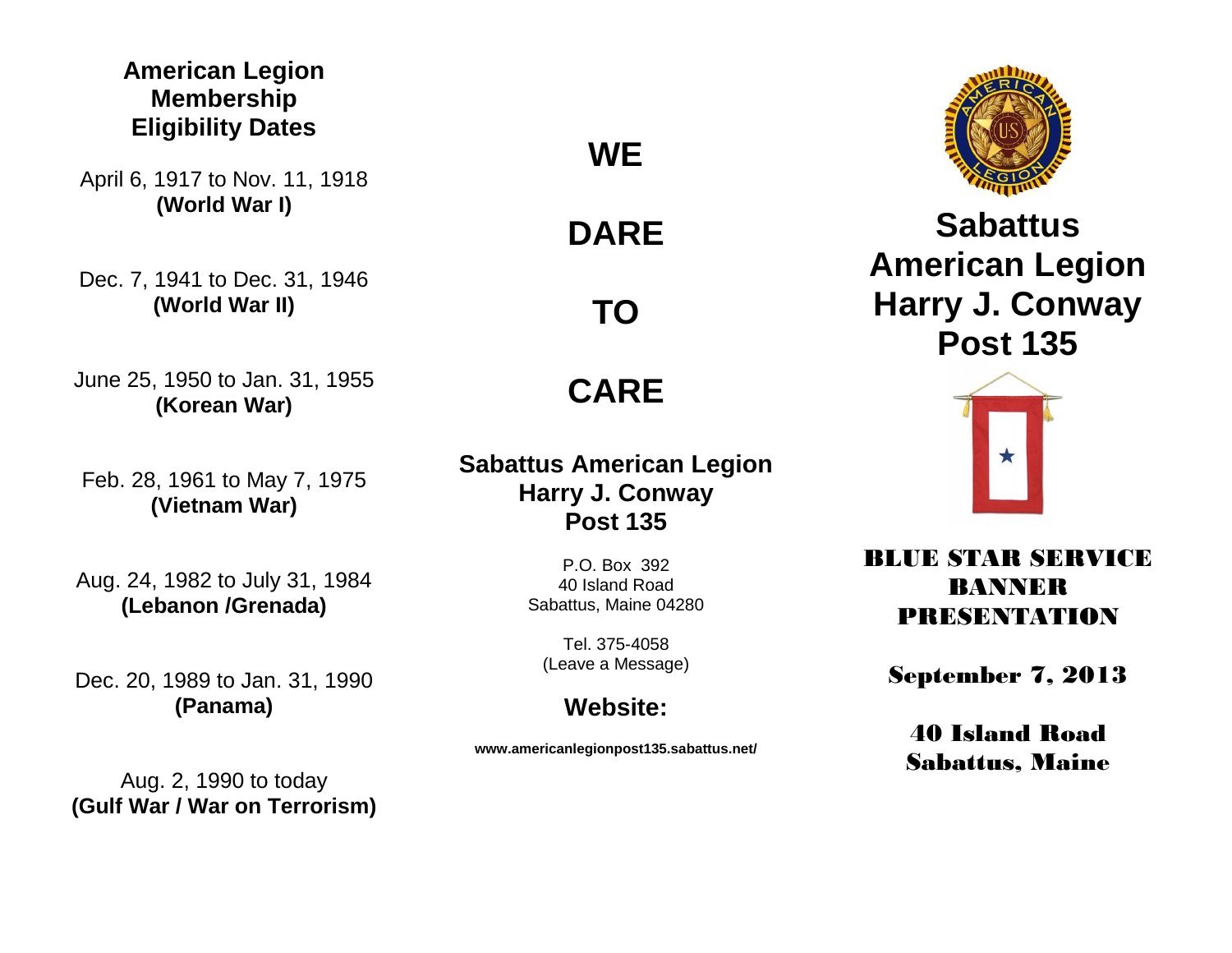## **American Legion Membership Eligibility Dates**

April 6, 1917 to Nov. 11, 1918 **(World War I)**

Dec. 7, 1941 to Dec. 31, 1946 **(World War II)**

June 25, 1950 to Jan. 31, 1955 **(Korean War)**

Feb. 28, 1961 to May 7, 1975 **(Vietnam War)**

Aug. 24, 1982 to July 31, 1984 **(Lebanon /Grenada)**

Dec. 20, 1989 to Jan. 31, 1990 **(Panama)**

**WE**

**DARE**

**TO**

**CARE**

**Sabattus American Legion Harry J. Conway Post 135**

> P.O. Box 392 40 Island Road Sabattus, Maine 04280

Tel. 375-4058 (Leave a Message)

## **Website:**

**www.americanlegionpost135.sabattus.net/**



**Sabattus American Legion Harry J. Conway Post 135**



BLUE STAR SERVICE BANNER PRESENTATION

September 7, 2013

40 Island Road Sabattus, Maine

Aug. 2, 1990 to today **(Gulf War / War on Terrorism)**